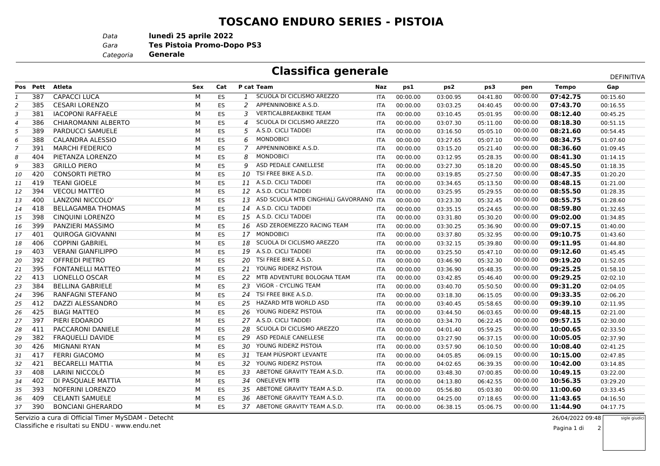## **TOSCANO ENDURO SERIES - PISTOIA**

*Data***lunedì 25 aprile 2022**

*Gara* **Tes Pistoia Promo-Dopo PS3**

*Categoria***Generale**

## **Classifica generale**

|                |          |                           |     |           |     |                                        |            |          |          |          | DEFINITIVA |              |          |
|----------------|----------|---------------------------|-----|-----------|-----|----------------------------------------|------------|----------|----------|----------|------------|--------------|----------|
|                | Pos Pett | <b>Atleta</b>             | Sex | Cat       |     | P cat Team                             | Naz        | ps1      | ps2      | ps3      | pen        | <b>Tempo</b> | Gap      |
| 1              | 387      | <b>CAPACCI LUCA</b>       | М   | ES        | 1   | SCUOLA DI CICLISMO AREZZO              | <b>ITA</b> | 00:00.00 | 03:00.95 | 04:41.80 | 00:00.00   | 07:42.75     | 00:15.60 |
| 2              | 385      | <b>CESARI LORENZO</b>     | M   | <b>ES</b> | 2   | APPENNINOBIKE A.S.D.                   | <b>ITA</b> | 00:00.00 | 03:03.25 | 04:40.45 | 00:00.00   | 07:43.70     | 00:16.55 |
| 3              | 381      | <b>IACOPONI RAFFAELE</b>  | M   | ES        | 3   | <b>VERTICALBREAKBIKE TEAM</b>          | <b>ITA</b> | 00:00.00 | 03:10.45 | 05:01.95 | 00:00.00   | 08:12.40     | 00:45.25 |
| $\overline{4}$ | 386      | CHIAROMANNI ALBERTO       | М   | ES        | 4   | SCUOLA DI CICLISMO AREZZO              | <b>ITA</b> | 00:00.00 | 03:07.30 | 05:11.00 | 00:00.00   | 08:18.30     | 00:51.15 |
| 5              | 389      | <b>PARDUCCI SAMUELE</b>   | м   | ES.       | 5.  | A.S.D. CICLI TADDEI                    | <b>ITA</b> | 00:00.00 | 03:16.50 | 05:05.10 | 00:00.00   | 08:21.60     | 00:54.45 |
| 6              | 388      | <b>CALANDRA ALESSIO</b>   | м   | ES        | 6   | <b>MONDOBICI</b>                       | <b>ITA</b> | 00:00.00 | 03:27.65 | 05:07.10 | 00:00.00   | 08:34.75     | 01:07.60 |
| 7              | 391      | <b>MARCHI FEDERICO</b>    | М   | ES        | 7   | APPENNINOBIKE A.S.D.                   | <b>ITA</b> | 00:00.00 | 03:15.20 | 05:21.40 | 00:00.00   | 08:36.60     | 01:09.45 |
| 8              | 404      | PIETANZA LORENZO          | М   | ES        | 8   | <b>MONDOBICI</b>                       | <b>ITA</b> | 00:00.00 | 03:12.95 | 05:28.35 | 00:00.00   | 08:41.30     | 01:14.15 |
| 9              | 383      | <b>GRILLO PIERO</b>       | М   | ES        | 9   | ASD PEDALE CANELLESE                   | <b>ITA</b> | 00:00.00 | 03:27.30 | 05:18.20 | 00:00.00   | 08:45.50     | 01:18.35 |
| 10             | 420      | <b>CONSORTI PIETRO</b>    | М   | ES        | 10  | TSI FREE BIKE A.S.D.                   | <b>ITA</b> | 00:00.00 | 03:19.85 | 05:27.50 | 00:00.00   | 08:47.35     | 01:20.20 |
| 11             | 419      | <b>TEANI GIOELE</b>       | M   | ES        | 11  | A.S.D. CICLI TADDEI                    | <b>ITA</b> | 00:00.00 | 03:34.65 | 05:13.50 | 00:00.00   | 08:48.15     | 01:21.00 |
| 12             | 394      | <b>VECOLI MATTEO</b>      | M   | ES        |     | 12 A.S.D. CICLI TADDEI                 | <b>ITA</b> | 00:00.00 | 03:25.95 | 05:29.55 | 00:00.00   | 08:55.50     | 01:28.35 |
| 13             | 400      | LANZONI NICCOLO'          | M   | ES        | 13  | ASD SCUOLA MTB CINGHIALI GAVORRANO ITA |            | 00:00.00 | 03:23.30 | 05:32.45 | 00:00.00   | 08:55.75     | 01:28.60 |
| 14             | 418      | <b>BELLAGAMBA THOMAS</b>  | M   | ES        | 14  | A.S.D. CICLI TADDEI                    | <b>ITA</b> | 00:00.00 | 03:35.15 | 05:24.65 | 00:00.00   | 08:59.80     | 01:32.65 |
| 15             | 398      | <b>CINQUINI LORENZO</b>   | М   | ES        |     | 15 A.S.D. CICLI TADDEI                 | ITA        | 00:00.00 | 03:31.80 | 05:30.20 | 00:00.00   | 09:02.00     | 01:34.85 |
| 16             | 399      | PANZIERI MASSIMO          | М   | <b>ES</b> | 16  | ASD ZEROEMEZZO RACING TEAM             | <b>ITA</b> | 00:00.00 | 03:30.25 | 05:36.90 | 00:00.00   | 09:07.15     | 01:40.00 |
| 17             | 401      | <b>QUIROGA GIOVANNI</b>   | M   | <b>ES</b> | 17  | <b>MONDOBICI</b>                       | <b>ITA</b> | 00:00.00 | 03:37.80 | 05:32.95 | 00:00.00   | 09:10.75     | 01:43.60 |
| 18             | 406      | <b>COPPINI GABRIEL</b>    | М   | ES        | 18  | SCUOLA DI CICLISMO AREZZO              | <b>ITA</b> | 00:00.00 | 03:32.15 | 05:39.80 | 00:00.00   | 09:11.95     | 01:44.80 |
| 19             | 403      | <b>VERANI GIANFILIPPO</b> | М   | <b>ES</b> | 19  | A.S.D. CICLI TADDEI                    | <b>ITA</b> | 00:00.00 | 03:25.50 | 05:47.10 | 00:00.00   | 09:12.60     | 01:45.45 |
| 20             | 392      | <b>OFFREDI PIETRO</b>     | М   | ES        | 20  | TSI FREE BIKE A.S.D.                   | ITA        | 00:00.00 | 03:46.90 | 05:32.30 | 00:00.00   | 09:19.20     | 01:52.05 |
| 21             | 395      | <b>FONTANELLI MATTEO</b>  | М   | ES        | 21  | YOUNG RIDERZ PISTOIA                   | <b>ITA</b> | 00:00.00 | 03:36.90 | 05:48.35 | 00:00.00   | 09:25.25     | 01:58.10 |
| 22             | 413      | LIONELLO OSCAR            | М   | <b>ES</b> | 22  | MTB ADVENTURE BOLOGNA TEAM             | <b>ITA</b> | 00:00.00 | 03:42.85 | 05:46.40 | 00:00.00   | 09:29.25     | 02:02.10 |
| 23             | 384      | <b>BELLINA GABRIELE</b>   | М   | ES        | 23  | VIGOR - CYCLING TEAM                   | <b>ITA</b> | 00:00.00 | 03:40.70 | 05:50.50 | 00:00.00   | 09:31.20     | 02:04.05 |
| 24             | 396      | RANFAGNI STEFANO          | М   | <b>ES</b> | 24  | TSI FREE BIKE A.S.D.                   | <b>ITA</b> | 00:00.00 | 03:18.30 | 06:15.05 | 00:00.00   | 09:33.35     | 02:06.20 |
| 25             | 412      | DAZZI ALESSANDRO          | м   | ES        | 25  | <b>HAZARD MTB WORLD ASD</b>            | <b>ITA</b> | 00:00.00 | 03:40.45 | 05:58.65 | 00:00.00   | 09:39.10     | 02:11.95 |
| 26             | 425      | <b>BIAGI MATTEO</b>       | М   | ES        | 26  | YOUNG RIDERZ PISTOIA                   | <b>ITA</b> | 00:00.00 | 03:44.50 | 06:03.65 | 00:00.00   | 09:48.15     | 02:21.00 |
| 27             | 397      | PIERI EDOARDO             | M   | ES        |     | 27 A.S.D. CICLI TADDEI                 | ITA        | 00:00.00 | 03:34.70 | 06:22.45 | 00:00.00   | 09:57.15     | 02:30.00 |
| 28             | 411      | PACCARONI DANIELE         | M   | ES        | 28  | SCUOLA DI CICLISMO AREZZO              | ITA        | 00:00.00 | 04:01.40 | 05:59.25 | 00:00.00   | 10:00.65     | 02:33.50 |
| 29             | 382      | <b>FRAQUELLI DAVIDE</b>   | M   | ES        | 29  | ASD PEDALE CANELLESE                   | ITA        | 00:00.00 | 03:27.90 | 06:37.15 | 00:00.00   | 10:05.05     | 02:37.90 |
| 30             | 426      | <b>MIGNANI RYAN</b>       | М   | ES        | 30  | YOUNG RIDERZ PISTOIA                   | ITA        | 00:00.00 | 03:57.90 | 06:10.50 | 00:00.00   | 10:08.40     | 02:41.25 |
| 31             | 417      | <b>FERRI GIACOMO</b>      | M   | ES        | 31  | TEAM PIÙSPORT LEVANTE                  | ITA        | 00:00.00 | 04:05.85 | 06:09.15 | 00:00.00   | 10:15.00     | 02:47.85 |
| 32             | 421      | <b>BECARELLI MATTIA</b>   | M   | <b>ES</b> | 32  | YOUNG RIDERZ PISTOIA                   | <b>ITA</b> | 00:00.00 | 04:02.65 | 06:39.35 | 00:00.00   | 10:42.00     | 03:14.85 |
| 33             | 408      | LARINI NICCOLÒ            | M   | <b>ES</b> | 33  | ABETONE GRAVITY TEAM A.S.D.            | <b>ITA</b> | 00:00.00 | 03:48.30 | 07:00.85 | 00:00.00   | 10:49.15     | 03:22.00 |
| 34             | 402      | DI PASOUALE MATTIA        | М   | <b>ES</b> | 34  | <b>ONELEVEN MTB</b>                    | <b>ITA</b> | 00:00.00 | 04:13.80 | 06:42.55 | 00:00.00   | 10:56.35     | 03:29.20 |
| 35             | 393      | <b>NOFERINI LORENZO</b>   | м   | ES.       | 35. | ABETONE GRAVITY TEAM A.S.D.            | <b>ITA</b> | 00:00.00 | 05:56.80 | 05:03.80 | 00:00.00   | 11:00.60     | 03:33.45 |
| 36             | 409      | <b>CELANTI SAMUELE</b>    | м   | ES        | 36  | ABETONE GRAVITY TEAM A.S.D.            | <b>ITA</b> | 00:00.00 | 04:25.00 | 07:18.65 | 00:00.00   | 11:43.65     | 04:16.50 |
| 37             | 390      | <b>BONCIANI GHERARDO</b>  | м   | <b>ES</b> |     | 37 ABETONE GRAVITY TEAM A.S.D.         | <b>ITA</b> | 00:00.00 | 06:38.15 | 05:06.75 | 00:00.00   | 11:44.90     | 04:17.75 |
|                |          |                           |     |           |     |                                        |            |          |          |          |            |              |          |

 Servizio a cura di Official Timer MySDAM - DetechtClassifiche e risultati su ENDU - www.endu.net

 26/04/2022 09:48sigle giudic

2

Pagina 1 di